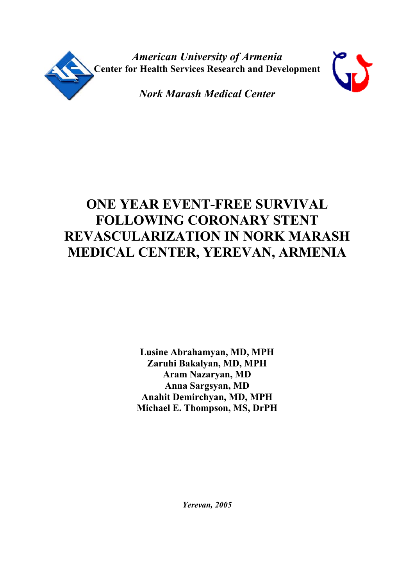

*American University of Armenia*  **Center for Health Services Research and Development** 



*Nork Marash Medical Center* 

# **ONE YEAR EVENT-FREE SURVIVAL FOLLOWING CORONARY STENT REVASCULARIZATION IN NORK MARASH MEDICAL CENTER, YEREVAN, ARMENIA**

**Lusine Abrahamyan, MD, MPH Zaruhi Bakalyan, MD, MPH Aram Nazaryan, MD Anna Sargsyan, MD Anahit Demirchyan, MD, MPH Michael E. Thompson, MS, DrPH**

*Yerevan, 2005*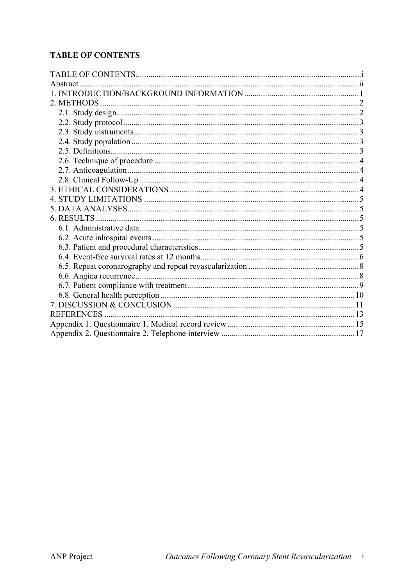# <span id="page-1-0"></span>**TABLE OF CONTENTS**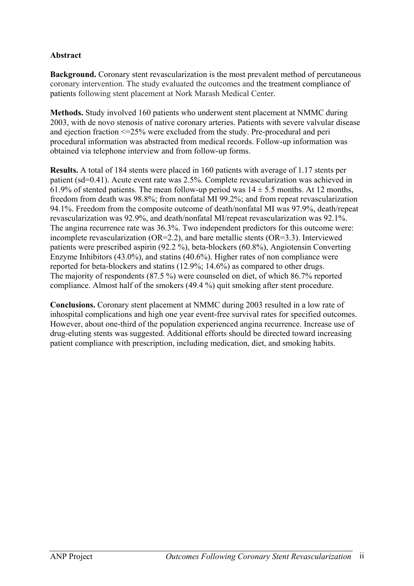### <span id="page-2-0"></span>**Abstract**

**Background.** Coronary stent revascularization is the most prevalent method of percutaneous coronary intervention. The study evaluated the outcomes and the treatment compliance of patients following stent placement at Nork Marash Medical Center.

**Methods.** Study involved 160 patients who underwent stent placement at NMMC during 2003, with de novo stenosis of native coronary arteries. Patients with severe valvular disease and ejection fraction <=25% were excluded from the study. Pre-procedural and peri procedural information was abstracted from medical records. Follow-up information was obtained via telephone interview and from follow-up forms.

**Results.** A total of 184 stents were placed in 160 patients with average of 1.17 stents per patient (sd=0.41). Acute event rate was 2.5%. Complete revascularization was achieved in 61.9% of stented patients. The mean follow-up period was  $14 \pm 5.5$  months. At 12 months, freedom from death was 98.8%; from nonfatal MI 99.2%; and from repeat revascularization 94.1%. Freedom from the composite outcome of death/nonfatal MI was 97.9%, death/repeat revascularization was 92.9%, and death/nonfatal MI/repeat revascularization was 92.1%. The angina recurrence rate was 36.3%. Two independent predictors for this outcome were: incomplete revascularization (OR=2.2), and bare metallic stents (OR=3.3). Interviewed patients were prescribed aspirin (92.2 %), beta-blockers (60.8%), Angiotensin Converting Enzyme Inhibitors (43.0%), and statins (40.6%). Higher rates of non compliance were reported for beta-blockers and statins (12.9%; 14.6%) as compared to other drugs. The majority of respondents (87.5 %) were counseled on diet, of which 86.7% reported compliance. Almost half of the smokers (49.4 %) quit smoking after stent procedure.

**Conclusions.** Coronary stent placement at NMMC during 2003 resulted in a low rate of inhospital complications and high one year event-free survival rates for specified outcomes. However, about one-third of the population experienced angina recurrence. Increase use of drug-eluting stents was suggested. Additional efforts should be directed toward increasing patient compliance with prescription, including medication, diet, and smoking habits.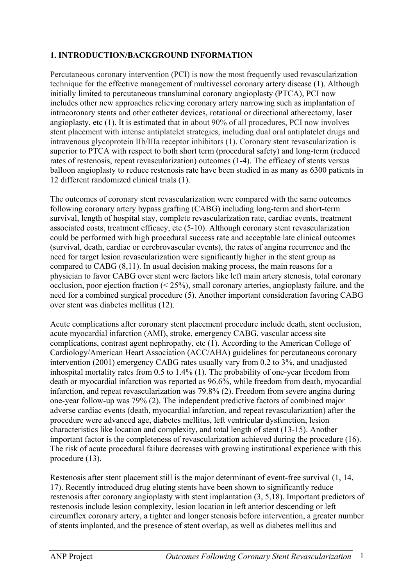# <span id="page-3-0"></span>**1. INTRODUCTION/BACKGROUND INFORMATION**

Percutaneous coronary intervention (PCI) is now the most frequently used revascularization technique for the effective management of multivessel coronary artery disease (1). Although initially limited to percutaneous transluminal coronary angioplasty (PTCA), PCI now includes other new approaches relieving coronary artery narrowing such as implantation of intracoronary stents and other catheter devices, rotational or directional atherectomy, laser angioplasty, etc (1). It is estimated that in about 90% of all procedures, PCI now involves stent placement with intense antiplatelet strategies, including dual oral antiplatelet drugs and intravenous glycoprotein IIb/IIIa receptor inhibitors (1). Coronary stent revascularization is superior to PTCA with respect to both short term (procedural safety) and long-term (reduced rates of restenosis, repeat revascularization) outcomes (1-4). The efficacy of stents versus balloon angioplasty to reduce restenosis rate have been studied in as many as 6300 patients in 12 different randomized clinical trials (1).

The outcomes of coronary stent revascularization were compared with the same outcomes following coronary artery bypass grafting (CABG) including long-term and short-term survival, length of hospital stay, complete revascularization rate, cardiac events, treatment associated costs, treatment efficacy, etc (5-10). Although coronary stent revascularization could be performed with high procedural success rate and acceptable late clinical outcomes (survival, death, cardiac or cerebrovascular events), the rates of angina recurrence and the need for target lesion revascularization were significantly higher in the stent group as compared to CABG (8,11). In usual decision making process, the main reasons for a physician to favor CABG over stent were factors like left main artery stenosis, total coronary occlusion, poor ejection fraction (< 25%), small coronary arteries, angioplasty failure, and the need for a combined surgical procedure (5). Another important consideration favoring CABG over stent was diabetes mellitus (12).

Acute complications after coronary stent placement procedure include death, stent occlusion, acute myocardial infarction (AMI), stroke, emergency CABG, vascular access site complications, contrast agent nephropathy, etc (1). According to the American College of Cardiology/American Heart Association (ACC/AHA) guidelines for percutaneous coronary intervention (2001) emergency CABG rates usually vary from 0.2 to 3%, and unadjusted inhospital mortality rates from 0.5 to 1.4% (1). The probability of one-year freedom from death or myocardial infarction was reported as 96.6%, while freedom from death, myocardial infarction, and repeat revascularization was 79.8% (2). Freedom from severe angina during one-year follow-up was 79% (2). The independent predictive factors of combined major adverse cardiac events (death, myocardial infarction, and repeat revascularization) after the procedure were advanced age, diabetes mellitus, left ventricular dysfunction, lesion characteristics like location and complexity, and total length of stent (13-15). Another important factor is the completeness of revascularization achieved during the procedure (16). The risk of acute procedural failure decreases with growing institutional experience with this procedure (13).

Restenosis after stent placement still is the major determinant of event-free survival (1, 14, 17). Recently introduced drug eluting stents have been shown to significantly reduce restenosis after coronary angioplasty with stent implantation (3, 5,18). Important predictors of restenosis include lesion complexity, lesion location in left anterior descending or left circumflex coronary artery, a tighter and longer stenosis before intervention, a greater number of stents implanted, and the presence of stent overlap, as well as diabetes mellitus and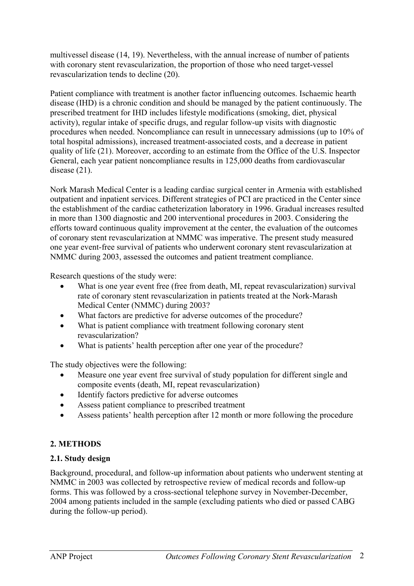<span id="page-4-0"></span>multivessel disease (14, 19). Nevertheless, with the annual increase of number of patients with coronary stent revascularization, the proportion of those who need target-vessel revascularization tends to decline (20).

Patient compliance with treatment is another factor influencing outcomes. Ischaemic hearth disease (IHD) is a chronic condition and should be managed by the patient continuously. The prescribed treatment for IHD includes lifestyle modifications (smoking, diet, physical activity), regular intake of specific drugs, and regular follow-up visits with diagnostic procedures when needed. Noncompliance can result in unnecessary admissions (up to 10% of total hospital admissions), increased treatment-associated costs, and a decrease in patient quality of life (21). Moreover, according to an estimate from the Office of the U.S. Inspector General, each year patient noncompliance results in 125,000 deaths from cardiovascular disease (21).

Nork Marash Medical Center is a leading cardiac surgical center in Armenia with established outpatient and inpatient services. Different strategies of PCI are practiced in the Center since the establishment of the cardiac catheterization laboratory in 1996. Gradual increases resulted in more than 1300 diagnostic and 200 interventional procedures in 2003. Considering the efforts toward continuous quality improvement at the center, the evaluation of the outcomes of coronary stent revascularization at NMMC was imperative. The present study measured one year event-free survival of patients who underwent coronary stent revascularization at NMMC during 2003, assessed the outcomes and patient treatment compliance.

Research questions of the study were:

- What is one year event free (free from death, MI, repeat revascularization) survival rate of coronary stent revascularization in patients treated at the Nork-Marash Medical Center (NMMC) during 2003?
- What factors are predictive for adverse outcomes of the procedure?
- What is patient compliance with treatment following coronary stent revascularization?
- What is patients' health perception after one year of the procedure?

The study objectives were the following:

- Measure one year event free survival of study population for different single and composite events (death, MI, repeat revascularization)
- Identify factors predictive for adverse outcomes
- Assess patient compliance to prescribed treatment
- Assess patients' health perception after 12 month or more following the procedure

# **2. METHODS**

# **2.1. Study design**

Background, procedural, and follow-up information about patients who underwent stenting at NMMC in 2003 was collected by retrospective review of medical records and follow-up forms. This was followed by a cross-sectional telephone survey in November-December, 2004 among patients included in the sample (excluding patients who died or passed CABG during the follow-up period).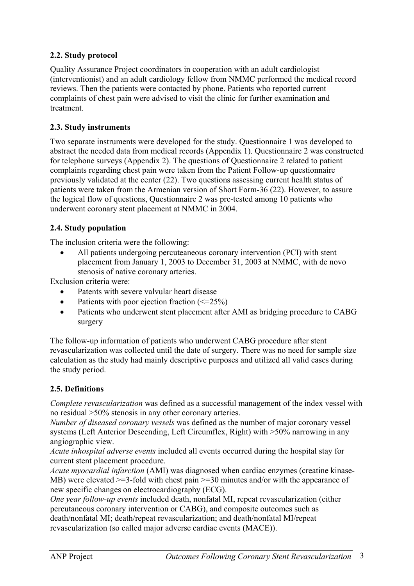# <span id="page-5-0"></span>**2.2. Study protocol**

Quality Assurance Project coordinators in cooperation with an adult cardiologist (interventionist) and an adult cardiology fellow from NMMC performed the medical record reviews. Then the patients were contacted by phone. Patients who reported current complaints of chest pain were advised to visit the clinic for further examination and treatment.

### **2.3. Study instruments**

Two separate instruments were developed for the study. Questionnaire 1 was developed to abstract the needed data from medical records (Appendix 1). Questionnaire 2 was constructed for telephone surveys (Appendix 2). The questions of Questionnaire 2 related to patient complaints regarding chest pain were taken from the Patient Follow-up questionnaire previously validated at the center (22). Two questions assessing current health status of patients were taken from the Armenian version of Short Form-36 (22). However, to assure the logical flow of questions, Questionnaire 2 was pre-tested among 10 patients who underwent coronary stent placement at NMMC in 2004.

### **2.4. Study population**

The inclusion criteria were the following:

• All patients undergoing percuteaneous coronary intervention (PCI) with stent placement from January 1, 2003 to December 31, 2003 at NMMC, with de novo stenosis of native coronary arteries.

Exclusion criteria were:

- Patents with severe valvular heart disease
- Patients with poor ejection fraction  $(\leq=25\%)$
- Patients who underwent stent placement after AMI as bridging procedure to CABG surgery

The follow-up information of patients who underwent CABG procedure after stent revascularization was collected until the date of surgery. There was no need for sample size calculation as the study had mainly descriptive purposes and utilized all valid cases during the study period.

### **2.5. Definitions**

*Complete revascularization* was defined as a successful management of the index vessel with no residual >50% stenosis in any other coronary arteries.

*Number of diseased coronary vessels* was defined as the number of major coronary vessel systems (Left Anterior Descending, Left Circumflex, Right) with >50% narrowing in any angiographic view.

*Acute inhospital adverse events* included all events occurred during the hospital stay for current stent placement procedure.

*Acute myocardial infarction* (AMI) was diagnosed when cardiac enzymes (creatine kinase-MB) were elevated  $>=$ 3-fold with chest pain  $>=$ 30 minutes and/or with the appearance of new specific changes on electrocardiography (ECG).

*One year follow-up events* included death, nonfatal MI, repeat revascularization (either percutaneous coronary intervention or CABG), and composite outcomes such as death/nonfatal MI; death/repeat revascularization; and death/nonfatal MI/repeat revascularization (so called major adverse cardiac events (MACE)).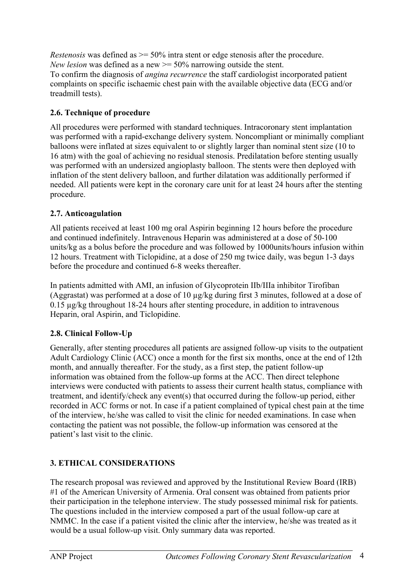<span id="page-6-0"></span>*Restenosis* was defined as  $\ge$  = 50% intra stent or edge stenosis after the procedure. *New lesion* was defined as a new  $\ge$  = 50% narrowing outside the stent. To confirm the diagnosis of *angina recurrence* the staff cardiologist incorporated patient complaints on specific ischaemic chest pain with the available objective data (ECG and/or

## **2.6. Technique of procedure**

treadmill tests).

All procedures were performed with standard techniques. Intracoronary stent implantation was performed with a rapid-exchange delivery system. Noncompliant or minimally compliant balloons were inflated at sizes equivalent to or slightly larger than nominal stent size (10 to 16 atm) with the goal of achieving no residual stenosis. Predilatation before stenting usually was performed with an undersized angioplasty balloon. The stents were then deployed with inflation of the stent delivery balloon, and further dilatation was additionally performed if needed. All patients were kept in the coronary care unit for at least 24 hours after the stenting procedure.

## **2.7. Anticoagulation**

All patients received at least 100 mg oral Aspirin beginning 12 hours before the procedure and continued indefinitely. Intravenous Heparin was administered at a dose of 50-100 units/kg as a bolus before the procedure and was followed by 1000units/hours infusion within 12 hours. Treatment with Ticlopidine, at a dose of 250 mg twice daily, was begun 1-3 days before the procedure and continued 6-8 weeks thereafter.

In patients admitted with AMI, an infusion of Glycoprotein IIb/IIIa inhibitor Tirofiban (Aggrastat) was performed at a dose of 10 µg/kg during first 3 minutes, followed at a dose of 0.15 µg/kg throughout 18-24 hours after stenting procedure, in addition to intravenous Heparin, oral Aspirin, and Ticlopidine.

# **2.8. Clinical Follow-Up**

Generally, after stenting procedures all patients are assigned follow-up visits to the outpatient Adult Cardiology Clinic (ACC) once a month for the first six months, once at the end of 12th month, and annually thereafter. For the study, as a first step, the patient follow-up information was obtained from the follow-up forms at the ACC. Then direct telephone interviews were conducted with patients to assess their current health status, compliance with treatment, and identify/check any event(s) that occurred during the follow-up period, either recorded in ACC forms or not. In case if a patient complained of typical chest pain at the time of the interview, he/she was called to visit the clinic for needed examinations. In case when contacting the patient was not possible, the follow-up information was censored at the patient's last visit to the clinic.

# **3. ETHICAL CONSIDERATIONS**

The research proposal was reviewed and approved by the Institutional Review Board (IRB) #1 of the American University of Armenia. Oral consent was obtained from patients prior their participation in the telephone interview. The study possessed minimal risk for patients. The questions included in the interview composed a part of the usual follow-up care at NMMC. In the case if a patient visited the clinic after the interview, he/she was treated as it would be a usual follow-up visit. Only summary data was reported.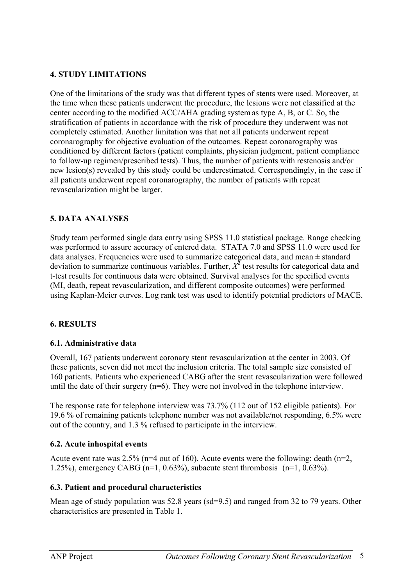### <span id="page-7-0"></span>**4. STUDY LIMITATIONS**

One of the limitations of the study was that different types of stents were used. Moreover, at the time when these patients underwent the procedure, the lesions were not classified at the center according to the modified ACC/AHA grading system as type A, B, or C. So, the stratification of patients in accordance with the risk of procedure they underwent was not completely estimated. Another limitation was that not all patients underwent repeat coronarography for objective evaluation of the outcomes. Repeat coronarography was conditioned by different factors (patient complaints, physician judgment, patient compliance to follow-up regimen/prescribed tests). Thus, the number of patients with restenosis and/or new lesion(s) revealed by this study could be underestimated. Correspondingly, in the case if all patients underwent repeat coronarography, the number of patients with repeat revascularization might be larger.

## **5. DATA ANALYSES**

Study team performed single data entry using SPSS 11.0 statistical package. Range checking was performed to assure accuracy of entered data. STATA 7.0 and SPSS 11.0 were used for data analyses. Frequencies were used to summarize categorical data, and mean  $\pm$  standard deviation to summarize continuous variables. Further,  $X^2$  test results for categorical data and t-test results for continuous data were obtained. Survival analyses for the specified events (MI, death, repeat revascularization, and different composite outcomes) were performed using Kaplan-Meier curves. Log rank test was used to identify potential predictors of MACE.

### **6. RESULTS**

### **6.1. Administrative data**

Overall, 167 patients underwent coronary stent revascularization at the center in 2003. Of these patients, seven did not meet the inclusion criteria. The total sample size consisted of 160 patients. Patients who experienced CABG after the stent revascularization were followed until the date of their surgery (n=6). They were not involved in the telephone interview.

The response rate for telephone interview was 73.7% (112 out of 152 eligible patients). For 19.6 % of remaining patients telephone number was not available/not responding, 6.5% were out of the country, and 1.3 % refused to participate in the interview.

### **6.2. Acute inhospital events**

Acute event rate was  $2.5\%$  (n=4 out of 160). Acute events were the following: death (n=2, 1.25%), emergency CABG (n=1, 0.63%), subacute stent thrombosis  $(n=1, 0.63\%)$ .

### **6.3. Patient and procedural characteristics**

Mean age of study population was 52.8 years (sd=9.5) and ranged from 32 to 79 years. Other characteristics are presented in Table 1.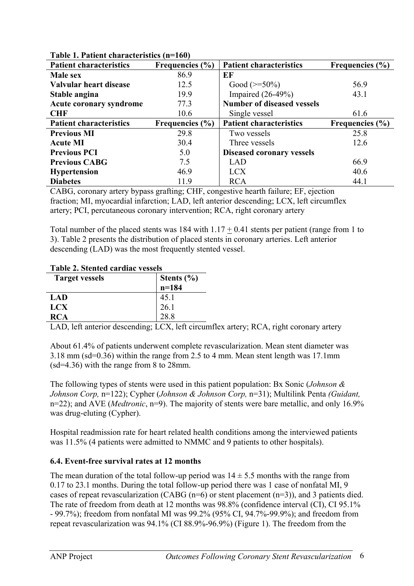| $1$ avit $1$ , $1$ atitut that acteristics $(11 - 100)$ |                     |                                   |                     |  |  |  |
|---------------------------------------------------------|---------------------|-----------------------------------|---------------------|--|--|--|
| <b>Patient characteristics</b>                          | Frequencies $(\% )$ | <b>Patient characteristics</b>    | Frequencies $(\% )$ |  |  |  |
| <b>Male sex</b>                                         | 86.9                | EF                                |                     |  |  |  |
| Valvular heart disease                                  | 12.5                | Good $(>=50\%)$                   | 56.9                |  |  |  |
| Stable angina                                           | 19.9                | Impaired $(26-49%)$               | 43.1                |  |  |  |
| <b>Acute coronary syndrome</b>                          | 77.3                | <b>Number of diseased vessels</b> |                     |  |  |  |
| <b>CHF</b>                                              | 10.6                | Single vessel                     | 61.6                |  |  |  |
| <b>Patient characteristics</b>                          | Frequencies (%)     | <b>Patient characteristics</b>    | Frequencies $(\% )$ |  |  |  |
| <b>Previous MI</b>                                      | 29.8                | Two vessels                       | 25.8                |  |  |  |
| <b>Acute MI</b>                                         | 30.4                | Three vessels                     | 12.6                |  |  |  |
| <b>Previous PCI</b>                                     | 5.0                 | <b>Diseased coronary vessels</b>  |                     |  |  |  |
| <b>Previous CABG</b>                                    | 7.5                 | <b>LAD</b>                        | 66.9                |  |  |  |
| <b>Hypertension</b>                                     | 46.9                | <b>LCX</b>                        | 40.6                |  |  |  |
| <b>Diabetes</b>                                         | 11.9                | <b>RCA</b>                        | 44.1                |  |  |  |

### <span id="page-8-0"></span>**Table 1. Patient characteristics (n=160)**

CABG, coronary artery bypass grafting; CHF, congestive hearth failure; EF, ejection fraction; MI, myocardial infarction; LAD, left anterior descending; LCX, left circumflex artery; PCI, percutaneous coronary intervention; RCA, right coronary artery

Total number of the placed stents was 184 with  $1.17 + 0.41$  stents per patient (range from 1 to 3). Table 2 presents the distribution of placed stents in coronary arteries. Left anterior descending (LAD) was the most frequently stented vessel.

### **Table 2. Stented cardiac vessels**

| <b>Target vessels</b> | Stents $(\% )$ |
|-----------------------|----------------|
|                       | $n=184$        |
| LAD                   | 45.1           |
| <b>LCX</b>            | 26.1           |
| <b>RCA</b>            | 28 R           |

LAD, left anterior descending; LCX, left circumflex artery; RCA, right coronary artery

About 61.4% of patients underwent complete revascularization. Mean stent diameter was 3.18 mm (sd=0.36) within the range from 2.5 to 4 mm. Mean stent length was 17.1mm (sd=4.36) with the range from 8 to 28mm.

The following types of stents were used in this patient population: Bx Sonic (*Johnson & Johnson Corp,* n=122); Cypher (*Johnson & Johnson Corp,* n=31); Multilink Penta *(Guidant,*  n=22); and AVE (*Medtronic*, n=9). The majority of stents were bare metallic, and only 16.9% was drug-eluting (Cypher).

Hospital readmission rate for heart related health conditions among the interviewed patients was 11.5% (4 patients were admitted to NMMC and 9 patients to other hospitals).

### **6.4. Event-free survival rates at 12 months**

The mean duration of the total follow-up period was  $14 \pm 5.5$  months with the range from 0.17 to 23.1 months. During the total follow-up period there was 1 case of nonfatal MI, 9 cases of repeat revascularization (CABG (n=6) or stent placement (n=3)), and 3 patients died. The rate of freedom from death at 12 months was 98.8% (confidence interval (CI), CI 95.1% - 99.7%); freedom from nonfatal MI was 99.2% (95% CI, 94.7%-99.9%); and freedom from repeat revascularization was 94.1% (CI 88.9%-96.9%) (Figure 1). The freedom from the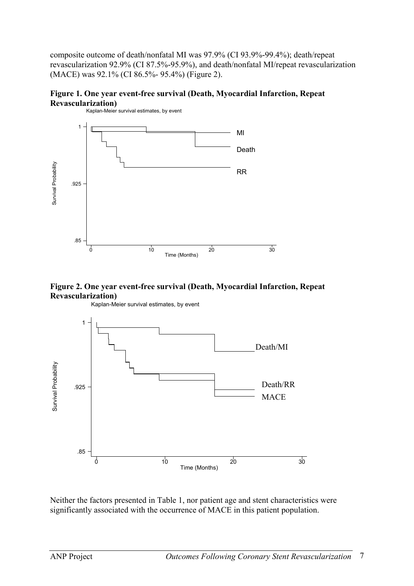composite outcome of death/nonfatal MI was 97.9% (CI 93.9%-99.4%); death/repeat revascularization 92.9% (CI 87.5%-95.9%), and death/nonfatal MI/repeat revascularization (MACE) was 92.1% (CI 86.5%- 95.4%) (Figure 2).











Neither the factors presented in Table 1, nor patient age and stent characteristics were significantly associated with the occurrence of MACE in this patient population.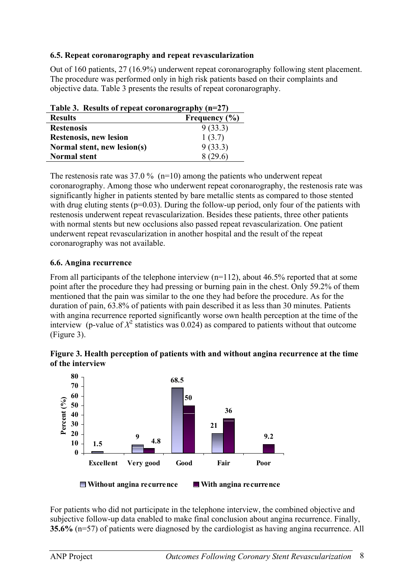### <span id="page-10-0"></span>**6.5. Repeat coronarography and repeat revascularization**

Out of 160 patients, 27 (16.9%) underwent repeat coronarography following stent placement. The procedure was performed only in high risk patients based on their complaints and objective data. Table 3 presents the results of repeat coronarography.

| Table 3. Results of repeat coronarography $(n=27)$ |                   |  |  |
|----------------------------------------------------|-------------------|--|--|
| <b>Results</b>                                     | Frequency $(\% )$ |  |  |
| <b>Restenosis</b>                                  | 9(33.3)           |  |  |
| <b>Restenosis, new lesion</b>                      | 1(3.7)            |  |  |
| Normal stent, new lesion(s)                        | 9(33.3)           |  |  |
| <b>Normal stent</b>                                | 8 (29.6)          |  |  |

The restenosis rate was  $37.0\%$  (n=10) among the patients who underwent repeat coronarography. Among those who underwent repeat coronarography, the restenosis rate was significantly higher in patients stented by bare metallic stents as compared to those stented with drug eluting stents ( $p=0.03$ ). During the follow-up period, only four of the patients with restenosis underwent repeat revascularization. Besides these patients, three other patients with normal stents but new occlusions also passed repeat revascularization. One patient underwent repeat revascularization in another hospital and the result of the repeat coronarography was not available.

### **6.6. Angina recurrence**

From all participants of the telephone interview  $(n=112)$ , about 46.5% reported that at some point after the procedure they had pressing or burning pain in the chest. Only 59.2% of them mentioned that the pain was similar to the one they had before the procedure. As for the duration of pain, 63.8% of patients with pain described it as less than 30 minutes. Patients with angina recurrence reported significantly worse own health perception at the time of the interview (p-value of  $X^2$  statistics was 0.024) as compared to patients without that outcome (Figure 3).

**Figure 3. Health perception of patients with and without angina recurrence at the time of the interview**



For patients who did not participate in the telephone interview, the combined objective and subjective follow-up data enabled to make final conclusion about angina recurrence. Finally, **35.6%** (n=57) of patients were diagnosed by the cardiologist as having angina recurrence. All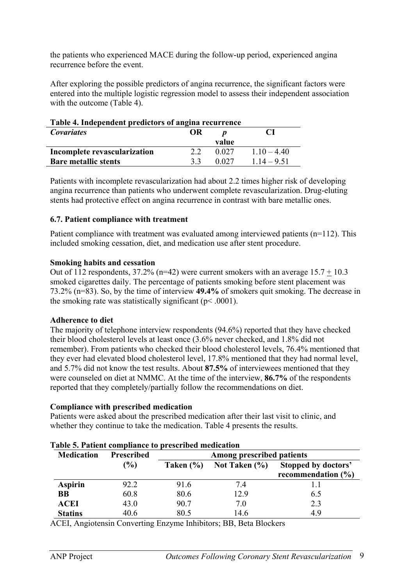<span id="page-11-0"></span>the patients who experienced MACE during the follow-up period, experienced angina recurrence before the event.

After exploring the possible predictors of angina recurrence, the significant factors were entered into the multiple logistic regression model to assess their independent association with the outcome (Table 4).

| Table 4. Independent predictors of angina recurrence |    |       |               |  |  |
|------------------------------------------------------|----|-------|---------------|--|--|
| <b>Covariates</b><br>OR                              |    |       |               |  |  |
|                                                      |    | value |               |  |  |
| Incomplete revascularization                         | 22 | 0.027 | $110 - 440$   |  |  |
| <b>Bare metallic stents</b>                          | 33 | 0.027 | $1.14 - 9.51$ |  |  |

Patients with incomplete revascularization had about 2.2 times higher risk of developing angina recurrence than patients who underwent complete revascularization. Drug-eluting stents had protective effect on angina recurrence in contrast with bare metallic ones.

#### **6.7. Patient compliance with treatment**

Patient compliance with treatment was evaluated among interviewed patients (n=112). This included smoking cessation, diet, and medication use after stent procedure.

#### **Smoking habits and cessation**

Out of 112 respondents,  $37.2\%$  (n=42) were current smokers with an average  $15.7 + 10.3$ smoked cigarettes daily. The percentage of patients smoking before stent placement was 73.2% (n=83). So, by the time of interview **49.4%** of smokers quit smoking. The decrease in the smoking rate was statistically significant ( $p$  < .0001).

#### **Adherence to diet**

The majority of telephone interview respondents (94.6%) reported that they have checked their blood cholesterol levels at least once (3.6% never checked, and 1.8% did not remember). From patients who checked their blood cholesterol levels, 76.4% mentioned that they ever had elevated blood cholesterol level, 17.8% mentioned that they had normal level, and 5.7% did not know the test results. About **87.5%** of interviewees mentioned that they were counseled on diet at NMMC. At the time of the interview, **86.7%** of the respondents reported that they completely/partially follow the recommendations on diet.

#### **Compliance with prescribed medication**

Patients were asked about the prescribed medication after their last visit to clinic, and whether they continue to take the medication. Table 4 presents the results.

| Table 5. Patient compliance to prescribed medication |                   |                           |               |                                               |  |  |
|------------------------------------------------------|-------------------|---------------------------|---------------|-----------------------------------------------|--|--|
| <b>Medication</b>                                    | <b>Prescribed</b> | Among prescribed patients |               |                                               |  |  |
|                                                      | $($ %)            | Taken $(\% )$             | Not Taken (%) | Stopped by doctors'<br>recommendation $(\% )$ |  |  |
| <b>Aspirin</b>                                       | 92.2              | 91.6                      | 7.4           | 1.1                                           |  |  |
| <b>BB</b>                                            | 60.8              | 80.6                      | 12.9          | 6.5                                           |  |  |
| <b>ACEI</b>                                          | 43.0              | 90.7                      | 7.0           | 2.3                                           |  |  |
| <b>Statins</b>                                       | 40.6              | 80.5                      | 14.6          | 4.9                                           |  |  |

ACEI, Angiotensin Converting Enzyme Inhibitors; BB, Beta Blockers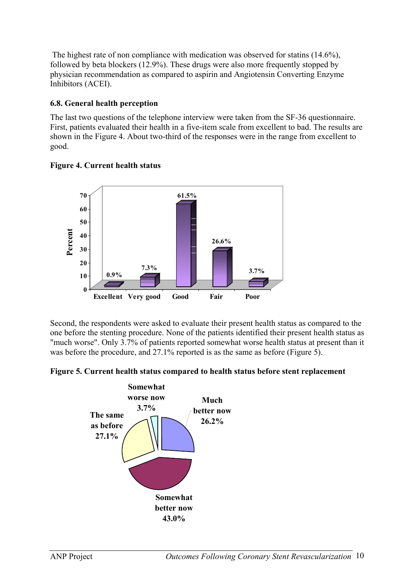<span id="page-12-0"></span> The highest rate of non compliance with medication was observed for statins (14.6%), followed by beta blockers (12.9%). These drugs were also more frequently stopped by physician recommendation as compared to aspirin and Angiotensin Converting Enzyme Inhibitors (ACEI).

# **6.8. General health perception**

The last two questions of the telephone interview were taken from the SF-36 questionnaire. First, patients evaluated their health in a five-item scale from excellent to bad. The results are shown in the Figure 4. About two-third of the responses were in the range from excellent to good.



### **Figure 4. Current health status**

Second, the respondents were asked to evaluate their present health status as compared to the one before the stenting procedure. None of the patients identified their present health status as "much worse". Only 3.7% of patients reported somewhat worse health status at present than it was before the procedure, and 27.1% reported is as the same as before (Figure 5).

**Figure 5. Current health status compared to health status before stent replacement** 

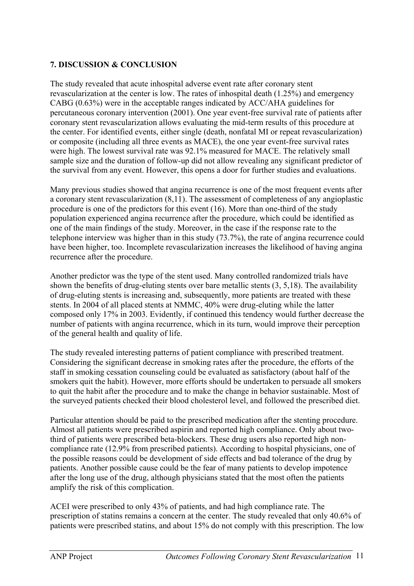### <span id="page-13-0"></span>**7. DISCUSSION & CONCLUSION**

The study revealed that acute inhospital adverse event rate after coronary stent revascularization at the center is low. The rates of inhospital death (1.25%) and emergency CABG (0.63%) were in the acceptable ranges indicated by ACC/AHA guidelines for percutaneous coronary intervention (2001). One year event-free survival rate of patients after coronary stent revascularization allows evaluating the mid-term results of this procedure at the center. For identified events, either single (death, nonfatal MI or repeat revascularization) or composite (including all three events as MACE), the one year event-free survival rates were high. The lowest survival rate was 92.1% measured for MACE. The relatively small sample size and the duration of follow-up did not allow revealing any significant predictor of the survival from any event. However, this opens a door for further studies and evaluations.

Many previous studies showed that angina recurrence is one of the most frequent events after a coronary stent revascularization (8,11). The assessment of completeness of any angioplastic procedure is one of the predictors for this event (16). More than one-third of the study population experienced angina recurrence after the procedure, which could be identified as one of the main findings of the study. Moreover, in the case if the response rate to the telephone interview was higher than in this study (73.7%), the rate of angina recurrence could have been higher, too. Incomplete revascularization increases the likelihood of having angina recurrence after the procedure.

Another predictor was the type of the stent used. Many controlled randomized trials have shown the benefits of drug-eluting stents over bare metallic stents (3, 5,18). The availability of drug-eluting stents is increasing and, subsequently, more patients are treated with these stents. In 2004 of all placed stents at NMMC, 40% were drug-eluting while the latter composed only 17% in 2003. Evidently, if continued this tendency would further decrease the number of patients with angina recurrence, which in its turn, would improve their perception of the general health and quality of life.

The study revealed interesting patterns of patient compliance with prescribed treatment. Considering the significant decrease in smoking rates after the procedure, the efforts of the staff in smoking cessation counseling could be evaluated as satisfactory (about half of the smokers quit the habit). However, more efforts should be undertaken to persuade all smokers to quit the habit after the procedure and to make the change in behavior sustainable. Most of the surveyed patients checked their blood cholesterol level, and followed the prescribed diet.

Particular attention should be paid to the prescribed medication after the stenting procedure. Almost all patients were prescribed aspirin and reported high compliance. Only about twothird of patients were prescribed beta-blockers. These drug users also reported high noncompliance rate (12.9% from prescribed patients). According to hospital physicians, one of the possible reasons could be development of side effects and bad tolerance of the drug by patients. Another possible cause could be the fear of many patients to develop impotence after the long use of the drug, although physicians stated that the most often the patients amplify the risk of this complication.

ACEI were prescribed to only 43% of patients, and had high compliance rate. The prescription of statins remains a concern at the center. The study revealed that only 40.6% of patients were prescribed statins, and about 15% do not comply with this prescription. The low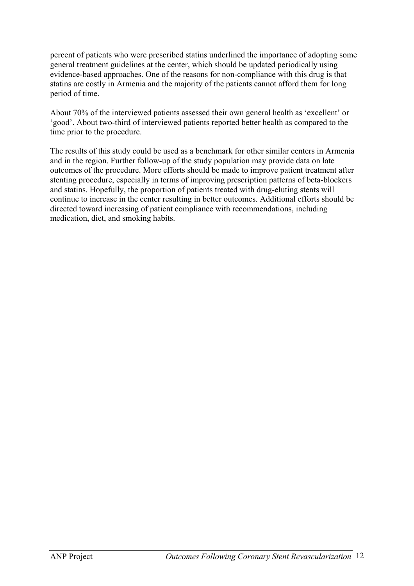percent of patients who were prescribed statins underlined the importance of adopting some general treatment guidelines at the center, which should be updated periodically using evidence-based approaches. One of the reasons for non-compliance with this drug is that statins are costly in Armenia and the majority of the patients cannot afford them for long period of time.

About 70% of the interviewed patients assessed their own general health as 'excellent' or 'good'. About two-third of interviewed patients reported better health as compared to the time prior to the procedure.

The results of this study could be used as a benchmark for other similar centers in Armenia and in the region. Further follow-up of the study population may provide data on late outcomes of the procedure. More efforts should be made to improve patient treatment after stenting procedure, especially in terms of improving prescription patterns of beta-blockers and statins. Hopefully, the proportion of patients treated with drug-eluting stents will continue to increase in the center resulting in better outcomes. Additional efforts should be directed toward increasing of patient compliance with recommendations, including medication, diet, and smoking habits.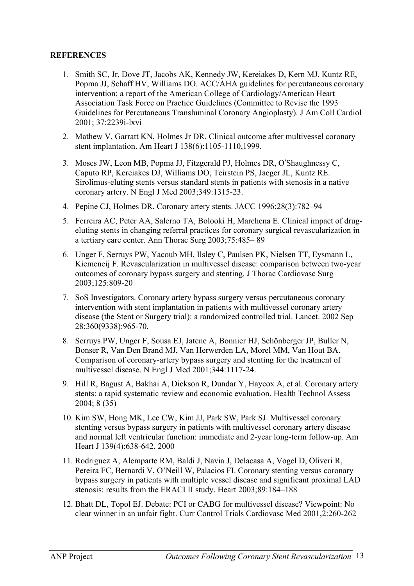### <span id="page-15-0"></span>**REFERENCES**

- 1. Smith SC, Jr, Dove JT, Jacobs AK, Kennedy JW, Kereiakes D, Kern MJ, Kuntz RE, Popma JJ, Schaff HV, Williams DO. ACC/AHA guidelines for percutaneous coronary intervention: a report of the American College of Cardiology/American Heart Association Task Force on Practice Guidelines (Committee to Revise the 1993 Guidelines for Percutaneous Transluminal Coronary Angioplasty). J Am Coll Cardiol 2001; 37:2239i-lxvi
- 2. Mathew V, Garratt KN, Holmes Jr DR. Clinical outcome after multivessel coronary stent implantation. Am Heart J 138(6):1105-1110,1999.
- 3. Moses JW, Leon MB, Popma JJ, Fitzgerald PJ, Holmes DR, O'Shaughnessy C, Caputo RP, Kereiakes DJ, Williams DO, Teirstein PS, Jaeger JL, Kuntz RE. Sirolimus-eluting stents versus standard stents in patients with stenosis in a native coronary artery. N Engl J Med 2003;349:1315-23.
- 4. Pepine CJ, Holmes DR. Coronary artery stents. JACC 1996;28(3):782–94
- 5. Ferreira AC, Peter AA, Salerno TA, Bolooki H, Marchena E. Clinical impact of drugeluting stents in changing referral practices for coronary surgical revascularization in a tertiary care center. Ann Thorac Surg 2003;75:485– 89
- 6. Unger F, Serruys PW, Yacoub MH, Ilsley C, Paulsen PK, Nielsen TT, Eysmann L, Kiemeneij F. Revascularization in multivessel disease: comparison between two-year outcomes of coronary bypass surgery and stenting. J Thorac Cardiovasc Surg 2003;125:809-20
- 7. SoS Investigators. Coronary artery bypass surgery versus percutaneous coronary intervention with stent implantation in patients with multivessel coronary artery disease (the Stent or Surgery trial): a randomized controlled trial. Lancet. 2002 Sep 28;360(9338):965-70.
- 8. Serruys PW, Unger F, Sousa EJ, Jatene A, Bonnier HJ, Schönberger JP, Buller N, Bonser R, Van Den Brand MJ, Van Herwerden LA, Morel MM, Van Hout BA. Comparison of coronary-artery bypass surgery and stenting for the treatment of multivessel disease. N Engl J Med 2001;344:1117-24.
- 9. Hill R, Bagust A, Bakhai A, Dickson R, Dundar Y, Haycox A, et al. Coronary artery stents: a rapid systematic review and economic evaluation. Health Technol Assess 2004; 8 (35)
- 10. Kim SW, Hong MK, Lee CW, Kim JJ, Park SW, Park SJ. Multivessel coronary stenting versus bypass surgery in patients with multivessel coronary artery disease and normal left ventricular function: immediate and 2-year long-term follow-up. Am Heart J 139(4):638-642, 2000
- 11. Rodriguez A, Alemparte RM, Baldi J, Navia J, Delacasa A, Vogel D, Oliveri R, Pereira FC, Bernardi V, O'Neill W, Palacios FI. Coronary stenting versus coronary bypass surgery in patients with multiple vessel disease and significant proximal LAD stenosis: results from the ERACI II study. Heart 2003;89:184–188
- 12. Bhatt DL, Topol EJ. Debate: PCI or CABG for multivessel disease? Viewpoint: No clear winner in an unfair fight. Curr Control Trials Cardiovasc Med 2001,2:260-262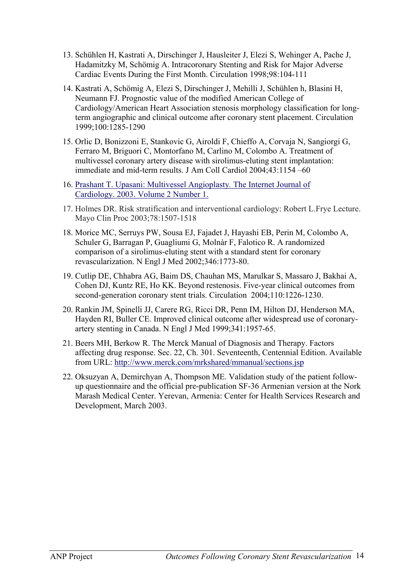- 13. Schühlen H, Kastrati A, Dirschinger J, Hausleiter J, Elezi S, Wehinger A, Pache J, Hadamitzky M, Schömig A. Intracoronary Stenting and Risk for Major Adverse Cardiac Events During the First Month. Circulation 1998;98:104-111
- 14. Kastrati A, Schömig A, Elezi S, Dirschinger J, Mehilli J, Schühlen h, Blasini H, Neumann FJ. Prognostic value of the modified American College of Cardiology/American Heart Association stenosis morphology classification for longterm angiographic and clinical outcome after coronary stent placement. Circulation 1999;100:1285-1290
- 15. Orlic D, Bonizzoni E, Stankovic G, Airoldi F, Chieffo A, Corvaja N, Sangiorgi G, Ferraro M, Briguori C, Montorfano M, Carlino M, Colombo A. Treatment of multivessel coronary artery disease with sirolimus-eluting stent implantation: immediate and mid-term results. J Am Coll Cardiol 2004;43:1154 –60
- 16. [Prashant T. Upasani: Multivessel Angioplasty](http://www.ispub.com/ostia/index.php?xmlFilePath=journals/ijc/vol2n1/multi.xml)*.* The Internet Journal of [Cardiology. 2003. Volume 2 Number 1.](http://www.ispub.com/ostia/index.php?xmlFilePath=journals/ijc/vol2n1/multi.xml)
- 17. Holmes DR. Risk stratification and interventional cardiology: Robert L.Frye Lecture. Mayo Clin Proc 2003;78:1507-1518
- 18. Morice MC, Serruys PW, Sousa EJ, Fajadet J, Hayashi EB, Perin M, Colombo A, Schuler G, Barragan P, Guagliumi G, Molnàr F, Falotico R. A randomized comparison of a sirolimus-eluting stent with a standard stent for coronary revascularization. N Engl J Med 2002;346:1773-80.
- 19. Cutlip DE, Chhabra AG, Baim DS, Chauhan MS, Marulkar S, Massaro J, Bakhai A, Cohen DJ, Kuntz RE, Ho KK. Beyond restenosis. Five-year clinical outcomes from second-generation coronary stent trials. Circulation 2004;110:1226-1230.
- 20. Rankin JM, Spinelli JJ, Carere RG, Ricci DR, Penn IM, Hilton DJ, Henderson MA, Hayden RI, Buller CE. Improved clinical outcome after widespread use of coronaryartery stenting in Canada. N Engl J Med 1999;341:1957-65.
- 21. Beers MH, Berkow R. The Merck Manual of Diagnosis and Therapy. Factors affecting drug response. Sec. 22, Ch. 301. Seventeenth, Centennial Edition. Available from URL: <http://www.merck.com/mrkshared/mmanual/sections.jsp>
- 22. Oksuzyan A, Demirchyan A, Thompson ME. Validation study of the patient followup questionnaire and the official pre-publication SF-36 Armenian version at the Nork Marash Medical Center. Yerevan, Armenia: Center for Health Services Research and Development, March 2003.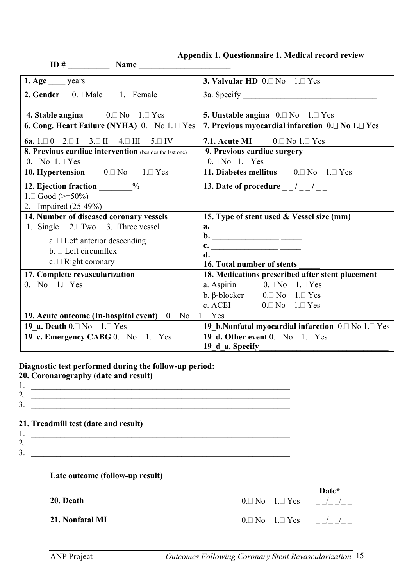|  | Appendix 1. Questionnaire 1. Medical record review |
|--|----------------------------------------------------|
|--|----------------------------------------------------|

<span id="page-17-0"></span>

| <b>Name</b>                                                                   |                                                                     |  |  |
|-------------------------------------------------------------------------------|---------------------------------------------------------------------|--|--|
| 1. Age years                                                                  | 3. Valvular HD $0.\square$ No $1.\square$ Yes                       |  |  |
| <b>2. Gender</b> $0.\Box$ Male $1.\Box$ Female                                |                                                                     |  |  |
| <b>4. Stable angina</b> $0.\Box$ No $1.\Box$ Yes                              | 5. Unstable angina $0. \Box$ No $1. \Box$ Yes                       |  |  |
| 6. Cong. Heart Failure (NYHA) 0.□ No 1. □ Yes                                 | 7. Previous myocardial infarction $0.\Box$ No $1.\Box$ Yes          |  |  |
| 6a. $1 \square 0$ $2 \square 1$ $3 \square 11$ $4 \square 111$ $5 \square 11$ | 7.1. Acute MI $0.\square$ No $1.\square$ Yes                        |  |  |
| 8. Previous cardiac intervention (besides the last one)                       | 9. Previous cardiac surgery                                         |  |  |
| $0.\square$ No $1.\square$ Yes                                                | $0.\square$ No $1.\square$ Yes                                      |  |  |
| 10. Hypertension $0.\Box$ No $1.\Box$ Yes                                     | 11. Diabetes mellitus $0 \Box$ No $1 \Box$ Yes                      |  |  |
| 12. Ejection fraction _______%                                                | 13. Date of procedure $\frac{1}{2}$ / $\frac{1}{2}$ / $\frac{1}{2}$ |  |  |
| $1. \Box$ Good (>=50%)                                                        |                                                                     |  |  |
| 2. Impaired $(25-49%)$                                                        |                                                                     |  |  |
| 14. Number of diseased coronary vessels                                       | 15. Type of stent used & Vessel size (mm)                           |  |  |
| 1. Single $2. \Box Two$ 3. Three vessel                                       |                                                                     |  |  |
| $a. \Box$ Left anterior descending                                            |                                                                     |  |  |
| $b. \Box$ Left circumflex                                                     |                                                                     |  |  |
| c. $\Box$ Right coronary                                                      | d.                                                                  |  |  |
|                                                                               | 16. Total number of stents                                          |  |  |
| 17. Complete revascularization                                                | 18. Medications prescribed after stent placement                    |  |  |
| $0.\square$ No $1.\square$ Yes                                                | a. Aspirin $0.\Box$ No $1.\Box$ Yes                                 |  |  |
|                                                                               | b. $\beta$ -blocker 0. No 1. Yes                                    |  |  |
|                                                                               | c. ACEI $0.\Box$ No $1.\Box$ Yes                                    |  |  |
| 19. Acute outcome (In-hospital event) $0.\Box$ No                             | $1 \square Y$ es                                                    |  |  |
| 19 a. Death $0.\square$ No $1.\square$ Yes                                    | 19 b.Nonfatal myocardial infarction $0.\Box$ No $1.\Box$ Yes        |  |  |
| 19 c. Emergency CABG $0.\square$ No $1.\square$ Yes                           | 19 d. Other event $0.\Box$ No $1.\Box$ Yes                          |  |  |
|                                                                               | 19 d a. Specify                                                     |  |  |

**Diagnostic test performed during the follow-up period:** 

| 20. Coronarography (date and result) |
|--------------------------------------|
|                                      |

- 2.  $\Box$
- $3.$

### **21. Treadmill test (date and result)**

- 1. \_\_\_\_\_\_\_\_\_\_\_\_\_\_\_\_\_\_\_\_\_\_\_\_\_\_\_\_\_\_\_\_\_\_\_\_\_\_\_\_\_\_\_\_\_\_\_\_\_\_\_\_\_\_\_\_\_\_\_\_\_\_
- 2.  $\frac{1}{\sqrt{1-\frac{1}{2}}\sqrt{1-\frac{1}{2}}\sqrt{1-\frac{1}{2}}\sqrt{1-\frac{1}{2}}\sqrt{1-\frac{1}{2}}\sqrt{1-\frac{1}{2}}\sqrt{1-\frac{1}{2}}\sqrt{1-\frac{1}{2}}\sqrt{1-\frac{1}{2}}\sqrt{1-\frac{1}{2}}\sqrt{1-\frac{1}{2}}\sqrt{1-\frac{1}{2}}\sqrt{1-\frac{1}{2}}\sqrt{1-\frac{1}{2}}\sqrt{1-\frac{1}{2}}\sqrt{1-\frac{1}{2}}\sqrt{1-\frac{1}{2}}\sqrt{1-\frac{1}{2}}\sqrt{1-\frac{1}{2}}\sqrt{$ 3. **\_\_\_\_\_\_\_\_\_\_\_\_\_\_\_\_\_\_\_\_\_\_\_\_\_\_\_\_\_\_\_\_\_\_\_\_\_\_\_\_\_\_\_\_\_\_\_\_\_\_\_\_\_\_\_\_\_\_\_\_\_\_**

#### **Late outcome (follow-up result)**

 **Date\* 20. Death**  $0.\Box$  No  $1.\Box$  Yes  $/$ **21. Nonfatal MI**  $0.\Box$  No  $1.\Box$  Yes  $-/-/-$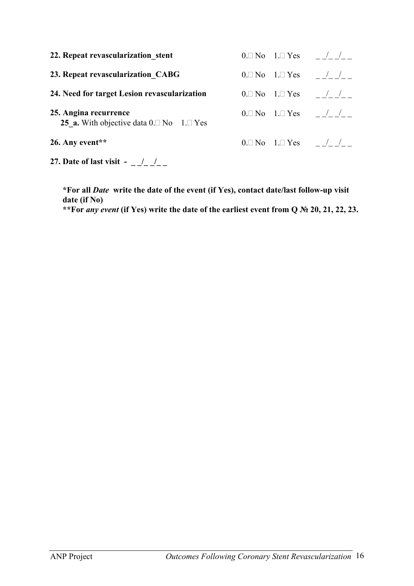| 22. Repeat revascularization stent                                          |  | $0.\Box$ No $1.\Box$ Yes / / |
|-----------------------------------------------------------------------------|--|------------------------------|
| 23. Repeat revascularization CABG                                           |  | $0.\Box$ No $1.\Box$ Yes / / |
| 24. Need for target Lesion revascularization                                |  | $0.\Box$ No $1.\Box$ Yes / / |
| 25. Angina recurrence<br>25 a. With objective data $0.\Box$ No $1.\Box$ Yes |  | $0.\Box$ No $1.\Box$ Yes / / |
| 26. Any event**                                                             |  | $0.\Box$ No $1.\Box$ Yes / / |

**27.** Date of last visit - \_ \_/\_ \_/\_ \_

**\*For all** *Date* **write the date of the event (if Yes), contact date/last follow-up visit date (if No) \*\*For** *any event* **(if Yes) write the date of the earliest event from Q № 20, 21, 22, 23.**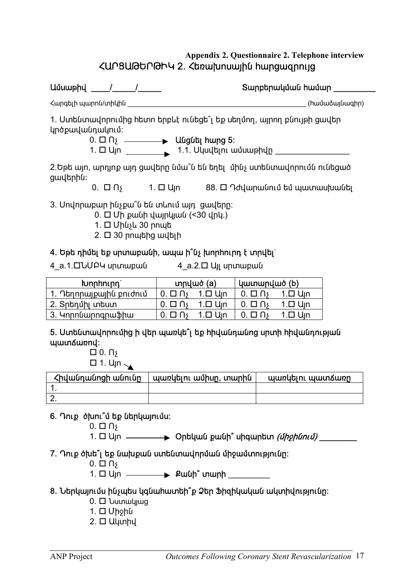# **Appendix 2. Questionnaire 2. Telephone interview <Ursundtright 2. <br/>bayabruary hungwannig**

<span id="page-19-0"></span>

|                                                                                                                                                           | Տարբերակման համար                                                                                                                          |  |  |  |
|-----------------------------------------------------------------------------------------------------------------------------------------------------------|--------------------------------------------------------------------------------------------------------------------------------------------|--|--|--|
| Հարգելի պարոն/տիկին                                                                                                                                       | (hwuudwyuuqhn)                                                                                                                             |  |  |  |
| 1. Ստենտավորումից հետո երբևէ ունեցե՞լ եք սեղմող, այրող բնույթի ցավեր<br>կրծքավանդակում:<br>$0. \Box \cap \mathfrak{h}$ $\longrightarrow$ Uugut $h$ ung 5: |                                                                                                                                            |  |  |  |
| 2.Եթե այո, արդյոք այդ ցավերը նմա՞ն են եղել մինչ ստենտավորումն ունեցած<br>ցավերին:                                                                         |                                                                                                                                            |  |  |  |
|                                                                                                                                                           | $0.$ $\Box$ $\cap$ $\gamma$ $1.$ $\Box$ $U$ <sub>J</sub> n $88.$ $\Box$ $\cap$ $d$ $U$ <sub>μ</sub> η $U$ μ $U$ πι $U$ $U$ $U$ $U$ $U$ $U$ |  |  |  |
| 3. Սովորաբար ինչքա՞ն են տևում այդ ցավերը:<br>$0. \Box$ Մի քանի վայրկյան (<30 վրկ.)<br>1. □ Մինչև 30 րոպե<br>$2. \Box 30$ րոպեից ավելի                     |                                                                                                                                            |  |  |  |

# 4. Եթե դիմել եք սրտաբանի, ապա ի՞նչ խորհուրդ է տրվել`

- 
- 4\_a.1.DUUP4 ununupuu <sup>4\_a.2. D</sup> Uji ununupuu

| <b>Junnhning</b>        | $unnu\ddot{\sigma}$ (a) |                      |  |  | կատարված (b) |  |
|-------------------------|-------------------------|----------------------|--|--|--------------|--|
| 1. Դեղորայքային բուժում |                         |                      |  |  |              |  |
| 2. Տրեդմիլ տեստ         |                         | 1.□ U <sub>i</sub> n |  |  |              |  |
| 3. Կորոնարոգրաֆիա       |                         |                      |  |  |              |  |

## 5. Uտենտավորումից ի վեր պառկե՞լ եք իիվանդանոց սրտի իիվանդության www.wiki

 $\Box$  0.  $\Omega$  $\Box$  1.  $U_{\text{J}}n_{\text{A}}$ 

| Հիվանդանոցի անունը | պառկելու ամիսը, տարին | պառկելու պատՃառը |
|--------------------|-----------------------|------------------|
|                    |                       |                  |
|                    |                       |                  |

# 6. Դուք ծխու՞մ եք ներկայումս:

 $0. \Box \Box$ 

1. □ <sup>U</sup>ící ——————> Ontiquuí pui p<sup>o</sup> uhquintun *(միջինում)* \_\_\_\_\_\_\_\_\_

# 7. Դուք ծխե՞լ եք նախքան ստենտավորման միջամտությունը:

 $0. \Box$   $\Box$ 

1. ²Ûá ø³ÝDZ ï³ñÇ \_\_\_\_\_\_\_\_\_

# 8. Սերկայումս ինչպես կգնահատեի՞ք Ձեր Ֆիզիկական ակտիվությունը:

- $0.  $\Box$  Uuunwuuuq$
- $1. \Box$  Uhohu
- $2. \Box$  Ulunhu